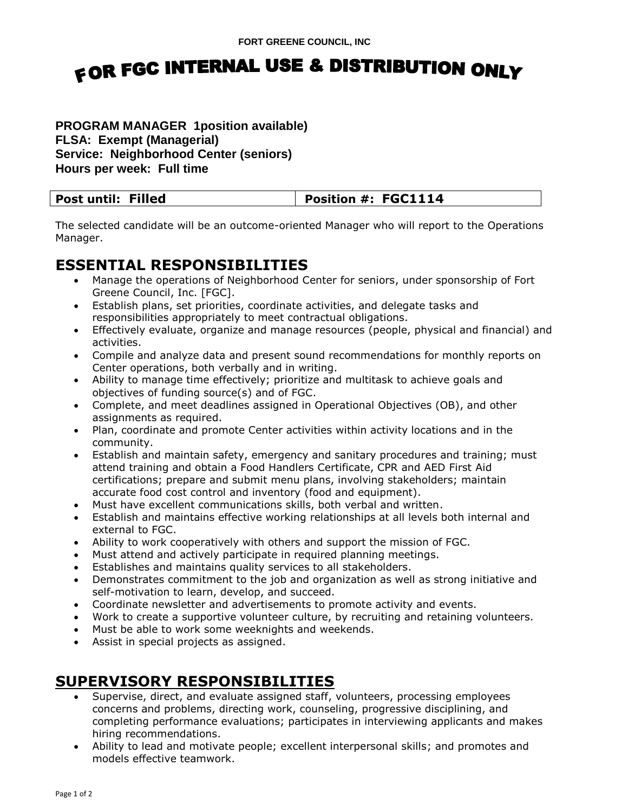# FOR FGC INTERNAL USE & DISTRIBUTION ONLY

#### **PROGRAM MANAGER 1position available) FLSA: Exempt (Managerial) Service: Neighborhood Center (seniors) Hours per week: Full time**

| <b>Post until: Filled</b> | Position #: FGC1114 |
|---------------------------|---------------------|

The selected candidate will be an outcome-oriented Manager who will report to the Operations Manager.

#### **ESSENTIAL RESPONSIBILITIES**

- Manage the operations of Neighborhood Center for seniors, under sponsorship of Fort Greene Council, Inc. [FGC].
- Establish plans, set priorities, coordinate activities, and delegate tasks and responsibilities appropriately to meet contractual obligations.
- Effectively evaluate, organize and manage resources (people, physical and financial) and activities.
- Compile and analyze data and present sound recommendations for monthly reports on Center operations, both verbally and in writing.
- Ability to manage time effectively; prioritize and multitask to achieve goals and objectives of funding source(s) and of FGC.
- Complete, and meet deadlines assigned in Operational Objectives (OB), and other assignments as required.
- Plan, coordinate and promote Center activities within activity locations and in the community.
- Establish and maintain safety, emergency and sanitary procedures and training; must attend training and obtain a Food Handlers Certificate, CPR and AED First Aid certifications; prepare and submit menu plans, involving stakeholders; maintain accurate food cost control and inventory (food and equipment).
- Must have excellent communications skills, both verbal and written.
- Establish and maintains effective working relationships at all levels both internal and external to FGC.
- Ability to work cooperatively with others and support the mission of FGC.
- Must attend and actively participate in required planning meetings.
- Establishes and maintains quality services to all stakeholders.
- Demonstrates commitment to the job and organization as well as strong initiative and self-motivation to learn, develop, and succeed.
- Coordinate newsletter and advertisements to promote activity and events.
- Work to create a supportive volunteer culture, by recruiting and retaining volunteers.
- Must be able to work some weeknights and weekends.
- Assist in special projects as assigned.

### **SUPERVISORY RESPONSIBILITIES**

- Supervise, direct, and evaluate assigned staff, volunteers, processing employees concerns and problems, directing work, counseling, progressive disciplining, and completing performance evaluations; participates in interviewing applicants and makes hiring recommendations.
- Ability to lead and motivate people; excellent interpersonal skills; and promotes and models effective teamwork.